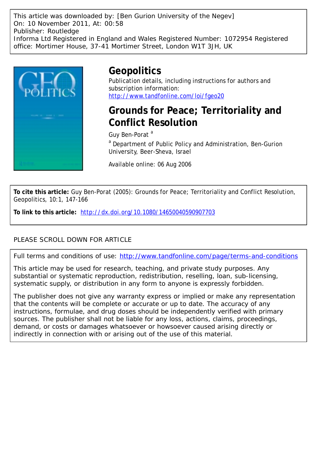This article was downloaded by: [Ben Gurion University of the Negev] On: 10 November 2011, At: 00:58 Publisher: Routledge Informa Ltd Registered in England and Wales Registered Number: 1072954 Registered office: Mortimer House, 37-41 Mortimer Street, London W1T 3JH, UK



# **Geopolitics**

Publication details, including instructions for authors and subscription information: <http://www.tandfonline.com/loi/fgeo20>

# **Grounds for Peace; Territoriality and Conflict Resolution**

Guy Ben-Porat<sup>a</sup>

<sup>a</sup> Department of Public Policy and Administration, Ben-Gurion University, Beer-Sheva, Israel

Available online: 06 Aug 2006

**To cite this article:** Guy Ben-Porat (2005): Grounds for Peace; Territoriality and Conflict Resolution, Geopolitics, 10:1, 147-166

**To link to this article:** <http://dx.doi.org/10.1080/14650040590907703>

# PLEASE SCROLL DOWN FOR ARTICLE

Full terms and conditions of use:<http://www.tandfonline.com/page/terms-and-conditions>

This article may be used for research, teaching, and private study purposes. Any substantial or systematic reproduction, redistribution, reselling, loan, sub-licensing, systematic supply, or distribution in any form to anyone is expressly forbidden.

The publisher does not give any warranty express or implied or make any representation that the contents will be complete or accurate or up to date. The accuracy of any instructions, formulae, and drug doses should be independently verified with primary sources. The publisher shall not be liable for any loss, actions, claims, proceedings, demand, or costs or damages whatsoever or howsoever caused arising directly or indirectly in connection with or arising out of the use of this material.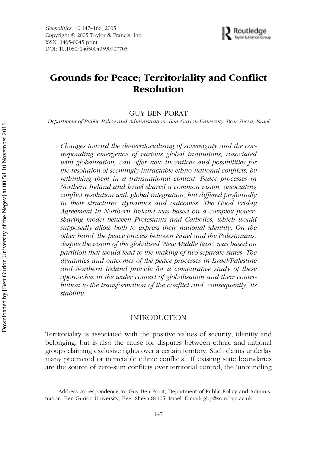

# **Grounds for Peace; Territoriality and Conflict Resolution**

#### GUY BEN-PORAT

*Department of Public Policy and Administration, Ben-Gurion University, Beer-Sheva, Israel*

*Changes toward the de-territorialising of sovereignty and the corresponding emergence of various global institutions, associated with globalisation, can offer new incentives and possibilities for the resolution of seemingly intractable ethno-national conflicts, by rethinking them in a transnational context. Peace processes in Northern Ireland and Israel shared a common vision, associating conflict resolution with global integration, but differed profoundly in their structures, dynamics and outcomes. The Good Friday Agreement in Northern Ireland was based on a complex powersharing model between Protestants and Catholics, which would supposedly allow both to express their national identity. On the other hand, the peace process between Israel and the Palestinians, despite the vision of the globalised 'New Middle East', was based on partition that would lead to the making of two separate states. The dynamics and outcomes of the peace processes in Israel/Palestine and Northern Ireland provide for a comparative study of these approaches in the wider context of globalisation and their contribution to the transformation of the conflict and, consequently, its stability.*

#### INTRODUCTION

Territoriality is associated with the positive values of security, identity and belonging, but is also the cause for disputes between ethnic and national groups claiming exclusive rights over a certain territory. Such claims underlay many protracted or intractable ethnic conflicts.<sup>1</sup> If existing state boundaries are the source of zero-sum conflicts over territorial control, the 'unbundling

Address correspondence to: Guy Ben-Porat, Department of Public Policy and Administration, Ben-Gurion University, Beer-Sheva 84105, Israel. E-mail: gbp@som.bgu.ac.uk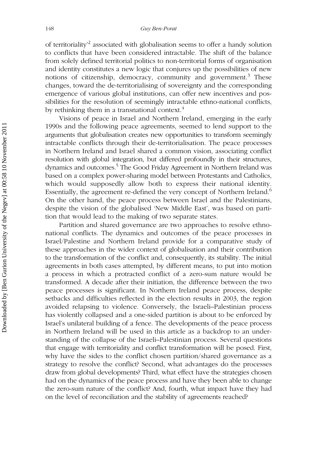of territoriality<sup>2</sup> associated with globalisation seems to offer a handy solution to conflicts that have been considered intractable. The shift of the balance from solely defined territorial politics to non-territorial forms of organisation and identity constitutes a new logic that conjures up the possibilities of new notions of citizenship, democracy, community and government.<sup>3</sup> These changes, toward the de-territorialising of sovereignty and the corresponding emergence of various global institutions, can offer new incentives and possibilities for the resolution of seemingly intractable ethno-national conflicts, by rethinking them in a transnational context. $4$ 

Visions of peace in Israel and Northern Ireland, emerging in the early 1990s and the following peace agreements, seemed to lend support to the arguments that globalisation creates new opportunities to transform seemingly intractable conflicts through their de-territorialisation. The peace processes in Northern Ireland and Israel shared a common vision, associating conflict resolution with global integration, but differed profoundly in their structures, dynamics and outcomes.<sup>5</sup> The Good Friday Agreement in Northern Ireland was based on a complex power-sharing model between Protestants and Catholics, which would supposedly allow both to express their national identity. Essentially, the agreement re-defined the very concept of Northern Ireland.<sup>6</sup> On the other hand, the peace process between Israel and the Palestinians, despite the vision of the globalised 'New Middle East', was based on partition that would lead to the making of two separate states.

Partition and shared governance are two approaches to resolve ethnonational conflicts. The dynamics and outcomes of the peace processes in Israel/Palestine and Northern Ireland provide for a comparative study of these approaches in the wider context of globalisation and their contribution to the transformation of the conflict and, consequently, its stability. The initial agreements in both cases attempted, by different means, to put into motion a process in which a protracted conflict of a zero-sum nature would be transformed. A decade after their initiation, the difference between the two peace processes is significant. In Northern Ireland peace process, despite setbacks and difficulties reflected in the election results in 2003, the region avoided relapsing to violence. Conversely, the Israeli–Palestinian process has violently collapsed and a one-sided partition is about to be enforced by Israel's unilateral building of a fence. The developments of the peace process in Northern Ireland will be used in this article as a backdrop to an understanding of the collapse of the Israeli–Palestinian process. Several questions that engage with territoriality and conflict transformation will be posed. First, why have the sides to the conflict chosen partition/shared governance as a strategy to resolve the conflict? Second, what advantages do the processes draw from global developments? Third, what effect have the strategies chosen had on the dynamics of the peace process and have they been able to change the zero-sum nature of the conflict? And, fourth, what impact have they had on the level of reconciliation and the stability of agreements reached?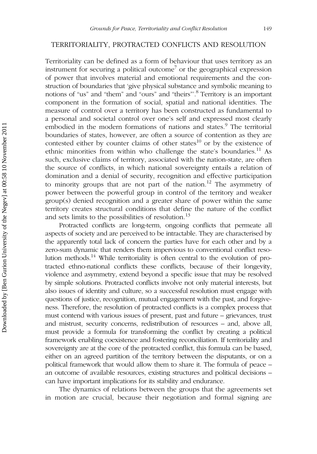### TERRITORIALITY, PROTRACTED CONFLICTS AND RESOLUTION

Territoriality can be defined as a form of behaviour that uses territory as an instrument for securing a political outcome<sup>7</sup> or the geographical expression of power that involves material and emotional requirements and the construction of boundaries that 'give physical substance and symbolic meaning to notions of "us" and "them" and "ours" and "theirs"'.8 Territory is an important component in the formation of social, spatial and national identities. The measure of control over a territory has been constructed as fundamental to a personal and societal control over one's self and expressed most clearly embodied in the modern formations of nations and states.<sup>9</sup> The territorial boundaries of states, however, are often a source of contention as they are contested either by counter claims of other states $10$  or by the existence of ethnic minorities from within who challenge the state's boundaries.<sup>11</sup> As such, exclusive claims of territory, associated with the nation-state, are often the source of conflicts, in which national sovereignty entails a relation of domination and a denial of security, recognition and effective participation to minority groups that are not part of the nation.<sup>12</sup> The asymmetry of power between the powerful group in control of the territory and weaker group(s) denied recognition and a greater share of power within the same territory creates structural conditions that define the nature of the conflict and sets limits to the possibilities of resolution.<sup>13</sup>

Protracted conflicts are long-term, ongoing conflicts that permeate all aspects of society and are perceived to be intractable. They are characterised by the apparently total lack of concern the parties have for each other and by a zero-sum dynamic that renders them impervious to conventional conflict resolution methods.14 While territoriality is often central to the evolution of protracted ethno-national conflicts these conflicts, because of their longevity, violence and asymmetry, extend beyond a specific issue that may be resolved by simple solutions. Protracted conflicts involve not only material interests, but also issues of identity and culture, so a successful resolution must engage with questions of justice, recognition, mutual engagement with the past, and forgiveness. Therefore, the resolution of protracted conflicts is a complex process that must contend with various issues of present, past and future – grievances, trust and mistrust, security concerns, redistribution of resources – and, above all, must provide a formula for transforming the conflict by creating a political framework enabling coexistence and fostering reconciliation. If territoriality and sovereignty are at the core of the protracted conflict, this formula can be based, either on an agreed partition of the territory between the disputants, or on a political framework that would allow them to share it. The formula of peace – an outcome of available resources, existing structures and political decisions – can have important implications for its stability and endurance.

The dynamics of relations between the groups that the agreements set in motion are crucial, because their negotiation and formal signing are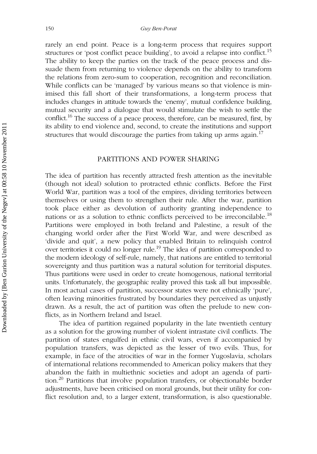rarely an end point. Peace is a long-term process that requires support structures or 'post conflict peace building', to avoid a relapse into conflict.<sup>15</sup> The ability to keep the parties on the track of the peace process and dissuade them from returning to violence depends on the ability to transform the relations from zero-sum to cooperation, recognition and reconciliation. While conflicts can be 'managed' by various means so that violence is minimised this fall short of their transformations, a long-term process that includes changes in attitude towards the 'enemy', mutual confidence building, mutual security and a dialogue that would stimulate the wish to settle the conflict.16 The success of a peace process, therefore, can be measured, first, by its ability to end violence and, second, to create the institutions and support structures that would discourage the parties from taking up arms again.<sup>17</sup>

# PARTITIONS AND POWER SHARING

The idea of partition has recently attracted fresh attention as the inevitable (though not ideal) solution to protracted ethnic conflicts. Before the First World War, partition was a tool of the empires, dividing territories between themselves or using them to strengthen their rule. After the war, partition took place either as devolution of authority granting independence to nations or as a solution to ethnic conflicts perceived to be irreconcilable.<sup>18</sup> Partitions were employed in both Ireland and Palestine, a result of the changing world order after the First World War, and were described as 'divide and quit', a new policy that enabled Britain to relinquish control over territories it could no longer rule.<sup>19</sup> The idea of partition corresponded to the modern ideology of self-rule, namely, that nations are entitled to territorial sovereignty and thus partition was a natural solution for territorial disputes. Thus partitions were used in order to create homogenous, national territorial units. Unfortunately, the geographic reality proved this task all but impossible. In most actual cases of partition, successor states were not ethnically 'pure', often leaving minorities frustrated by boundaries they perceived as unjustly drawn. As a result, the act of partition was often the prelude to new conflicts, as in Northern Ireland and Israel.

The idea of partition regained popularity in the late twentieth century as a solution for the growing number of violent intrastate civil conflicts. The partition of states engulfed in ethnic civil wars, even if accompanied by population transfers, was depicted as the lesser of two evils. Thus, for example, in face of the atrocities of war in the former Yugoslavia, scholars of international relations recommended to American policy makers that they abandon the faith in multiethnic societies and adopt an agenda of partition.<sup>20</sup> Partitions that involve population transfers, or objectionable border adjustments, have been criticised on moral grounds, but their utility for conflict resolution and, to a larger extent, transformation, is also questionable.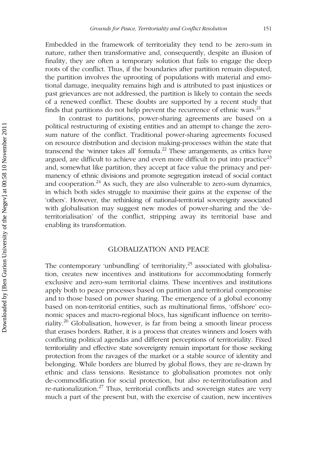Embedded in the framework of territoriality they tend to be zero-sum in nature, rather then transformative and, consequently, despite an illusion of finality, they are often a temporary solution that fails to engage the deep roots of the conflict. Thus, if the boundaries after partition remain disputed, the partition involves the uprooting of populations with material and emotional damage, inequality remains high and is attributed to past injustices or past grievances are not addressed, the partition is likely to contain the seeds of a renewed conflict. These doubts are supported by a recent study that finds that partitions do not help prevent the recurrence of ethnic wars. $^{21}$ 

In contrast to partitions, power-sharing agreements are based on a political restructuring of existing entities and an attempt to change the zerosum nature of the conflict. Traditional power-sharing agreements focused on resource distribution and decision making-processes within the state that transcend the 'winner takes all' formula.<sup>22</sup> These arrangements, as critics have argued, are difficult to achieve and even more difficult to put into practice<sup>23</sup> and, somewhat like partition, they accept at face value the primacy and permanency of ethnic divisions and promote segregation instead of social contact and cooperation. $24$  As such, they are also vulnerable to zero-sum dynamics, in which both sides struggle to maximise their gains at the expense of the 'others'. However, the rethinking of national-territorial sovereignty associated with globalisation may suggest new modes of power-sharing and the 'deterritorialisation' of the conflict, stripping away its territorial base and enabling its transformation.

# GLOBALIZATION AND PEACE

The contemporary 'unbundling' of territoriality,<sup>25</sup> associated with globalisation, creates new incentives and institutions for accommodating formerly exclusive and zero-sum territorial claims. These incentives and institutions apply both to peace processes based on partition and territorial compromise and to those based on power sharing. The emergence of a global economy based on non-territorial entities, such as multinational firms, 'offshore' economic spaces and macro-regional blocs, has significant influence on territoriality.<sup>26</sup> Globalisation, however, is far from being a smooth linear process that erases borders. Rather, it is a process that creates winners and losers with conflicting political agendas and different perceptions of territoriality. Fixed territoriality and effective state sovereignty remain important for those seeking protection from the ravages of the market or a stable source of identity and belonging. While borders are blurred by global flows, they are re-drawn by ethnic and class tensions. Resistance to globalisation promotes not only de-commodification for social protection, but also re-territorialisation and re-nationalization.<sup>27</sup> Thus, territorial conflicts and sovereign states are very much a part of the present but, with the exercise of caution, new incentives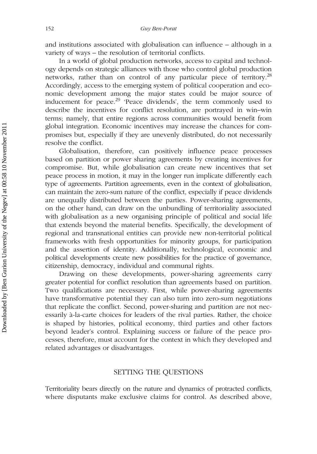and institutions associated with globalisation can influence – although in a variety of ways – the resolution of territorial conflicts.

In a world of global production networks, access to capital and technology depends on strategic alliances with those who control global production networks, rather than on control of any particular piece of territory.<sup>28</sup> Accordingly, access to the emerging system of political cooperation and economic development among the major states could be major source of inducement for peace.<sup>29</sup> 'Peace dividends', the term commonly used to describe the incentives for conflict resolution, are portrayed in win–win terms; namely, that entire regions across communities would benefit from global integration. Economic incentives may increase the chances for compromises but, especially if they are unevenly distributed, do not necessarily resolve the conflict.

Globalisation, therefore, can positively influence peace processes based on partition or power sharing agreements by creating incentives for compromise. But, while globalisation can create new incentives that set peace process in motion, it may in the longer run implicate differently each type of agreements. Partition agreements, even in the context of globalisation, can maintain the zero-sum nature of the conflict, especially if peace dividends are unequally distributed between the parties. Power-sharing agreements, on the other hand, can draw on the unbundling of territoriality associated with globalisation as a new organising principle of political and social life that extends beyond the material benefits. Specifically, the development of regional and transnational entities can provide new non-territorial political frameworks with fresh opportunities for minority groups, for participation and the assertion of identity. Additionally, technological, economic and political developments create new possibilities for the practice of governance, citizenship, democracy, individual and communal rights.

Drawing on these developments, power-sharing agreements carry greater potential for conflict resolution than agreements based on partition. Two qualifications are necessary. First, while power-sharing agreements have transformative potential they can also turn into zero-sum negotiations that replicate the conflict. Second, power-sharing and partition are not necessarily à-la-carte choices for leaders of the rival parties. Rather, the choice is shaped by histories, political economy, third parties and other factors beyond leader's control. Explaining success or failure of the peace processes, therefore, must account for the context in which they developed and related advantages or disadvantages.

## SETTING THE QUESTIONS

Territoriality bears directly on the nature and dynamics of protracted conflicts, where disputants make exclusive claims for control. As described above,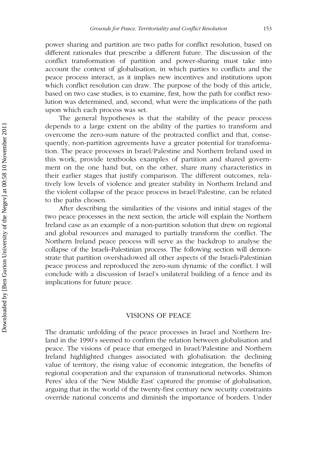power sharing and partition are two paths for conflict resolution, based on different rationales that prescribe a different future. The discussion of the conflict transformation of partition and power-sharing must take into account the context of globalisation, in which parties to conflicts and the peace process interact, as it implies new incentives and institutions upon which conflict resolution can draw. The purpose of the body of this article, based on two case studies, is to examine, first, how the path for conflict resolution was determined, and, second, what were the implications of the path upon which each process was set.

The general hypotheses is that the stability of the peace process depends to a large extent on the ability of the parties to transform and overcome the zero-sum nature of the protracted conflict and that, consequently, non-partition agreements have a greater potential for transformation. The peace processes in Israel/Palestine and Northern Ireland used in this work, provide textbooks examples of partition and shared government on the one hand but, on the other, share many characteristics in their earlier stages that justify comparison. The different outcomes, relatively low levels of violence and greater stability in Northern Ireland and the violent collapse of the peace process in Israel/Palestine, can be related to the paths chosen.

After describing the similarities of the visions and initial stages of the two peace processes in the next section, the article will explain the Northern Ireland case as an example of a non-partition solution that drew on regional and global resources and managed to partially transform the conflict. The Northern Ireland peace process will serve as the backdrop to analyse the collapse of the Israeli–Palestinian process. The following section will demonstrate that partition overshadowed all other aspects of the Israeli-Palestinian peace process and reproduced the zero-sum dynamic of the conflict. I will conclude with a discussion of Israel's unilateral building of a fence and its implications for future peace.

## VISIONS OF PEACE

The dramatic unfolding of the peace processes in Israel and Northern Ireland in the 1990's seemed to confirm the relation between globalisation and peace. The visions of peace that emerged in Israel/Palestine and Northern Ireland highlighted changes associated with globalisation: the declining value of territory, the rising value of economic integration, the benefits of regional cooperation and the expansion of transnational networks. Shimon Peres' idea of the 'New Middle East' captured the promise of globalisation, arguing that in the world of the twenty-first century new security constraints override national concerns and diminish the importance of borders. Under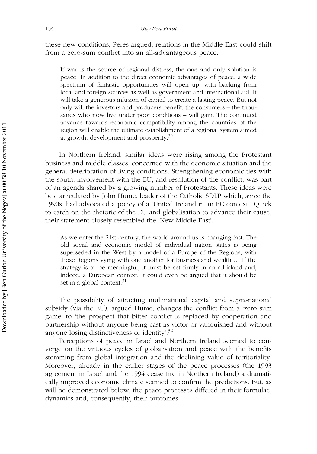these new conditions, Peres argued, relations in the Middle East could shift from a zero-sum conflict into an all-advantageous peace.

If war is the source of regional distress, the one and only solution is peace. In addition to the direct economic advantages of peace, a wide spectrum of fantastic opportunities will open up, with backing from local and foreign sources as well as government and international aid. It will take a generous infusion of capital to create a lasting peace. But not only will the investors and producers benefit, the consumers – the thousands who now live under poor conditions – will gain. The continued advance towards economic compatibility among the countries of the region will enable the ultimate establishment of a regional system aimed at growth, development and prosperity.<sup>30</sup>

In Northern Ireland, similar ideas were rising among the Protestant business and middle classes, concerned with the economic situation and the general deterioration of living conditions. Strengthening economic ties with the south, involvement with the EU, and resolution of the conflict, was part of an agenda shared by a growing number of Protestants. These ideas were best articulated by John Hume, leader of the Catholic SDLP which, since the 1990s, had advocated a policy of a 'United Ireland in an EC context'. Quick to catch on the rhetoric of the EU and globalisation to advance their cause, their statement closely resembled the 'New Middle East'.

As we enter the 21st century, the world around us is changing fast. The old social and economic model of individual nation states is being superseded in the West by a model of a Europe of the Regions, with those Regions vying with one another for business and wealth … If the strategy is to be meaningful, it must be set firmly in an all-island and, indeed, a European context. It could even be argued that it should be set in a global context.<sup>31</sup>

The possibility of attracting multinational capital and supra-national subsidy (via the EU), argued Hume, changes the conflict from a 'zero sum game' to 'the prospect that bitter conflict is replaced by cooperation and partnership without anyone being cast as victor or vanquished and without anyone losing distinctiveness or identity'.<sup>32</sup>

Perceptions of peace in Israel and Northern Ireland seemed to converge on the virtuous cycles of globalisation and peace with the benefits stemming from global integration and the declining value of territoriality. Moreover, already in the earlier stages of the peace processes (the 1993 agreement in Israel and the 1994 cease fire in Northern Ireland) a dramatically improved economic climate seemed to confirm the predictions. But, as will be demonstrated below, the peace processes differed in their formulae, dynamics and, consequently, their outcomes.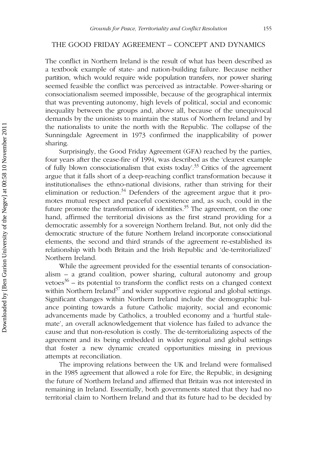# THE GOOD FRIDAY AGREEMENT – CONCEPT AND DYNAMICS

The conflict in Northern Ireland is the result of what has been described as a textbook example of state- and nation-building failure. Because neither partition, which would require wide population transfers, nor power sharing seemed feasible the conflict was perceived as intractable. Power-sharing or consociationalism seemed impossible, because of the geographical intermix that was preventing autonomy, high levels of political, social and economic inequality between the groups and, above all, because of the unequivocal demands by the unionists to maintain the status of Northern Ireland and by the nationalists to unite the north with the Republic. The collapse of the Sunningdale Agreement in 1973 confirmed the inapplicability of power sharing.

Surprisingly, the Good Friday Agreement (GFA) reached by the parties, four years after the cease-fire of 1994, was described as the 'clearest example of fully blown consociationalism that exists today'.<sup>33</sup> Critics of the agreement argue that it falls short of a deep-reaching conflict transformation because it institutionalises the ethno-national divisions, rather than striving for their elimination or reduction. $34$  Defenders of the agreement argue that it promotes mutual respect and peaceful coexistence and, as such, could in the future promote the transformation of identities.<sup>35</sup> The agreement, on the one hand, affirmed the territorial divisions as the first strand providing for a democratic assembly for a sovereign Northern Ireland. But, not only did the democratic structure of the future Northern Ireland incorporate consociational elements, the second and third strands of the agreement re-established its relationship with both Britain and the Irish Republic and 'de-territorialized' Northern Ireland.

While the agreement provided for the essential tenants of consociationalism – a grand coalition, power sharing, cultural autonomy and group vetoes<sup>36</sup> – its potential to transform the conflict rests on a changed context within Northern Ireland<sup>37</sup> and wider supportive regional and global settings. Significant changes within Northern Ireland include the demographic balance pointing towards a future Catholic majority, social and economic advancements made by Catholics, a troubled economy and a 'hurtful stalemate', an overall acknowledgement that violence has failed to advance the cause and that non-resolution is costly. The de-territorializing aspects of the agreement and its being embedded in wider regional and global settings that foster a new dynamic created opportunities missing in previous attempts at reconciliation.

The improving relations between the UK and Ireland were formalised in the 1985 agreement that allowed a role for Eire, the Republic, in designing the future of Northern Ireland and affirmed that Britain was not interested in remaining in Ireland. Essentially, both governments stated that they had no territorial claim to Northern Ireland and that its future had to be decided by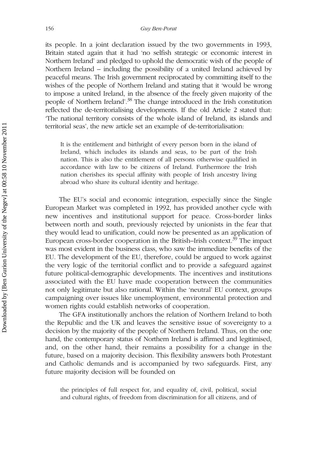its people. In a joint declaration issued by the two governments in 1993, Britain stated again that it had 'no selfish strategic or economic interest in Northern Ireland' and pledged to uphold the democratic wish of the people of Northern Ireland – including the possibility of a united Ireland achieved by peaceful means. The Irish government reciprocated by committing itself to the wishes of the people of Northern Ireland and stating that it 'would be wrong to impose a united Ireland, in the absence of the freely given majority of the people of Northern Ireland'.<sup>38</sup> The change introduced in the Irish constitution reflected the de-territorialising developments. If the old Article 2 stated that: 'The national territory consists of the whole island of Ireland, its islands and territorial seas', the new article set an example of de-territorialisation:

It is the entitlement and birthright of every person born in the island of Ireland, which includes its islands and seas, to be part of the Irish nation. This is also the entitlement of all persons otherwise qualified in accordance with law to be citizens of Ireland. Furthermore the Irish nation cherishes its special affinity with people of Irish ancestry living abroad who share its cultural identity and heritage.

The EU's social and economic integration, especially since the Single European Market was completed in 1992, has provided another cycle with new incentives and institutional support for peace. Cross-border links between north and south, previously rejected by unionists in the fear that they would lead to unification, could now be presented as an application of European cross-border cooperation in the British–Irish context.<sup>39</sup> The impact was most evident in the business class, who saw the immediate benefits of the EU. The development of the EU, therefore, could be argued to work against the very logic of the territorial conflict and to provide a safeguard against future political-demographic developments. The incentives and institutions associated with the EU have made cooperation between the communities not only legitimate but also rational. Within the 'neutral' EU context, groups campaigning over issues like unemployment, environmental protection and women rights could establish networks of cooperation.

The GFA institutionally anchors the relation of Northern Ireland to both the Republic and the UK and leaves the sensitive issue of sovereignty to a decision by the majority of the people of Northern Ireland. Thus, on the one hand, the contemporary status of Northern Ireland is affirmed and legitimised, and, on the other hand, their remains a possibility for a change in the future, based on a majority decision. This flexibility answers both Protestant and Catholic demands and is accompanied by two safeguards. First, any future majority decision will be founded on

the principles of full respect for, and equality of, civil, political, social and cultural rights, of freedom from discrimination for all citizens, and of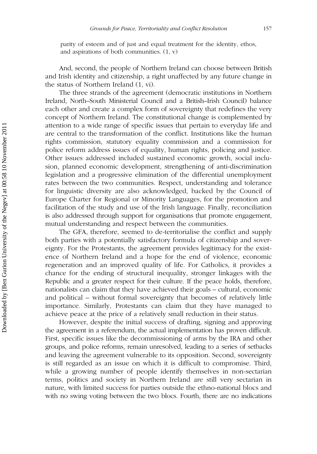parity of esteem and of just and equal treatment for the identity, ethos, and aspirations of both communities.  $(1, v)$ 

And, second, the people of Northern Ireland can choose between British and Irish identity and citizenship, a right unaffected by any future change in the status of Northern Ireland (1, vi).

The three strands of the agreement (democratic institutions in Northern Ireland, North–South Ministerial Council and a British–Irish Council) balance each other and create a complex form of sovereignty that redefines the very concept of Northern Ireland. The constitutional change is complemented by attention to a wide range of specific issues that pertain to everyday life and are central to the transformation of the conflict. Institutions like the human rights commission, statutory equality commission and a commission for police reform address issues of equality, human rights, policing and justice. Other issues addressed included sustained economic growth, social inclusion, planned economic development, strengthening of anti-discrimination legislation and a progressive elimination of the differential unemployment rates between the two communities. Respect, understanding and tolerance for linguistic diversity are also acknowledged, backed by the Council of Europe Charter for Regional or Minority Languages, for the promotion and facilitation of the study and use of the Irish language. Finally, reconciliation is also addressed through support for organisations that promote engagement, mutual understanding and respect between the communities.

The GFA, therefore, seemed to de-territorialise the conflict and supply both parties with a potentially satisfactory formula of citizenship and sovereignty. For the Protestants, the agreement provides legitimacy for the existence of Northern Ireland and a hope for the end of violence, economic regeneration and an improved quality of life. For Catholics, it provides a chance for the ending of structural inequality, stronger linkages with the Republic and a greater respect for their culture. If the peace holds, therefore, nationalists can claim that they have achieved their goals – cultural, economic and political – without formal sovereignty that becomes of relatively little importance. Similarly, Protestants can claim that they have managed to achieve peace at the price of a relatively small reduction in their status.

However, despite the initial success of drafting, signing and approving the agreement in a referendum, the actual implementation has proven difficult. First, specific issues like the decommissioning of arms by the IRA and other groups, and police reforms, remain unresolved, leading to a series of setbacks and leaving the agreement vulnerable to its opposition. Second, sovereignty is still regarded as an issue on which it is difficult to compromise. Third, while a growing number of people identify themselves in non-sectarian terms, politics and society in Northern Ireland are still very sectarian in nature, with limited success for parties outside the ethno-national blocs and with no swing voting between the two blocs. Fourth, there are no indications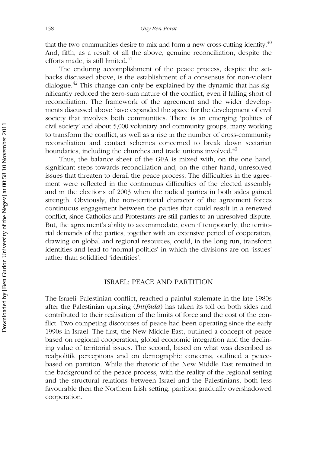that the two communities desire to mix and form a new cross-cutting identity.<sup>40</sup> And, fifth, as a result of all the above, genuine reconciliation, despite the efforts made, is still limited. $41$ 

The enduring accomplishment of the peace process, despite the setbacks discussed above, is the establishment of a consensus for non-violent dialogue.<sup>42</sup> This change can only be explained by the dynamic that has significantly reduced the zero-sum nature of the conflict, even if falling short of reconciliation. The framework of the agreement and the wider developments discussed above have expanded the space for the development of civil society that involves both communities. There is an emerging 'politics of civil society' and about 5,000 voluntary and community groups, many working to transform the conflict, as well as a rise in the number of cross-community reconciliation and contact schemes concerned to break down sectarian boundaries, including the churches and trade unions involved.<sup>43</sup>

Thus, the balance sheet of the GFA is mixed with, on the one hand, significant steps towards reconciliation and, on the other hand, unresolved issues that threaten to derail the peace process. The difficulties in the agreement were reflected in the continuous difficulties of the elected assembly and in the elections of 2003 when the radical parties in both sides gained strength. Obviously, the non-territorial character of the agreement forces continuous engagement between the parties that could result in a renewed conflict, since Catholics and Protestants are still parties to an unresolved dispute. But, the agreement's ability to accommodate, even if temporarily, the territorial demands of the parties, together with an extensive period of cooperation, drawing on global and regional resources, could, in the long run, transform identities and lead to 'normal politics' in which the divisions are on 'issues' rather than solidified 'identities'.

# ISRAEL: PEACE AND PARTITION

The Israeli–Palestinian conflict, reached a painful stalemate in the late 1980s after the Palestinian uprising (*Intifada*) has taken its toll on both sides and contributed to their realisation of the limits of force and the cost of the conflict. Two competing discourses of peace had been operating since the early 1990s in Israel. The first, the New Middle East, outlined a concept of peace based on regional cooperation, global economic integration and the declining value of territorial issues. The second, based on what was described as realpolitik perceptions and on demographic concerns, outlined a peacebased on partition. While the rhetoric of the New Middle East remained in the background of the peace process, with the reality of the regional setting and the structural relations between Israel and the Palestinians, both less favourable then the Northern Irish setting, partition gradually overshadowed cooperation.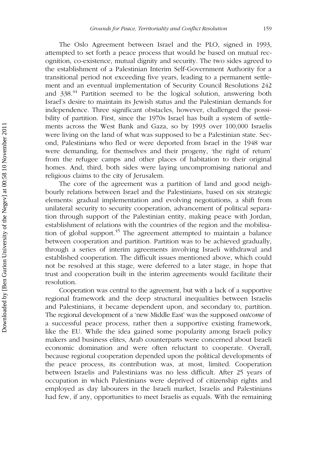The Oslo Agreement between Israel and the PLO, signed in 1993, attempted to set forth a peace process that would be based on mutual recognition, co-existence, mutual dignity and security. The two sides agreed to the establishment of a Palestinian Interim Self-Government Authority for a transitional period not exceeding five years, leading to a permanent settlement and an eventual implementation of Security Council Resolutions 242 and  $338<sup>44</sup>$  Partition seemed to be the logical solution, answering both Israel's desire to maintain its Jewish status and the Palestinian demands for independence. Three significant obstacles, however, challenged the possibility of partition. First, since the 1970s Israel has built a system of settlements across the West Bank and Gaza, so by 1993 over 100,000 Israelis were living on the land of what was supposed to be a Palestinian state. Second, Palestinians who fled or were deported from Israel in the 1948 war were demanding, for themselves and their progeny, 'the right of return' from the refugee camps and other places of habitation to their original homes. And, third, both sides were laying uncompromising national and religious claims to the city of Jerusalem.

The core of the agreement was a partition of land and good neighbourly relations between Israel and the Palestinians, based on six strategic elements: gradual implementation and evolving negotiations, a shift from unilateral security to security cooperation, advancement of political separation through support of the Palestinian entity, making peace with Jordan, establishment of relations with the countries of the region and the mobilisation of global support. $45$  The agreement attempted to maintain a balance between cooperation and partition. Partition was to be achieved gradually, through a series of interim agreements involving Israeli withdrawal and established cooperation. The difficult issues mentioned above, which could not be resolved at this stage, were deferred to a later stage, in hope that trust and cooperation built in the interim agreements would facilitate their resolution.

Cooperation was central to the agreement, but with a lack of a supportive regional framework and the deep structural inequalities between Israelis and Palestinians, it became dependent upon, and secondary to, partition. The regional development of a 'new Middle East' was the supposed *outcome* of a successful peace process, rather then a supportive existing framework, like the EU. While the idea gained some popularity among Israeli policy makers and business elites, Arab counterparts were concerned about Israeli economic domination and were often reluctant to cooperate. Overall, because regional cooperation depended upon the political developments of the peace process, its contribution was, at most, limited. Cooperation between Israelis and Palestinians was no less difficult. After 25 years of occupation in which Palestinians were deprived of citizenship rights and employed as day labourers in the Israeli market, Israelis and Palestinians had few, if any, opportunities to meet Israelis as equals. With the remaining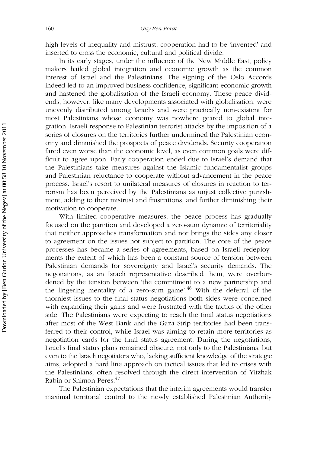high levels of inequality and mistrust, cooperation had to be 'invented' and inserted to cross the economic, cultural and political divide.

In its early stages, under the influence of the New Middle East, policy makers hailed global integration and economic growth as the common interest of Israel and the Palestinians. The signing of the Oslo Accords indeed led to an improved business confidence, significant economic growth and hastened the globalisation of the Israeli economy. These peace dividends, however, like many developments associated with globalisation, were unevenly distributed among Israelis and were practically non-existent for most Palestinians whose economy was nowhere geared to global integration. Israeli response to Palestinian terrorist attacks by the imposition of a series of closures on the territories further undermined the Palestinian economy and diminished the prospects of peace dividends. Security cooperation fared even worse than the economic level, as even common goals were difficult to agree upon. Early cooperation ended due to Israel's demand that the Palestinians take measures against the Islamic fundamentalist groups and Palestinian reluctance to cooperate without advancement in the peace process. Israel's resort to unilateral measures of closures in reaction to terrorism has been perceived by the Palestinians as unjust collective punishment, adding to their mistrust and frustrations, and further diminishing their motivation to cooperate.

With limited cooperative measures, the peace process has gradually focused on the partition and developed a zero-sum dynamic of territoriality that neither approaches transformation and nor brings the sides any closer to agreement on the issues not subject to partition. The core of the peace processes has became a series of agreements, based on Israeli redeployments the extent of which has been a constant source of tension between Palestinian demands for sovereignty and Israel's security demands. The negotiations, as an Israeli representative described them, were overburdened by the tension between 'the commitment to a new partnership and the lingering mentality of a zero-sum game'.<sup>46</sup> With the deferral of the thorniest issues to the final status negotiations both sides were concerned with expanding their gains and were frustrated with the tactics of the other side. The Palestinians were expecting to reach the final status negotiations after most of the West Bank and the Gaza Strip territories had been transferred to their control, while Israel was aiming to retain more territories as negotiation cards for the final status agreement. During the negotiations, Israel's final status plans remained obscure, not only to the Palestinians, but even to the Israeli negotiators who, lacking sufficient knowledge of the strategic aims, adopted a hard line approach on tactical issues that led to crises with the Palestinians, often resolved through the direct intervention of Yitzhak Rabin or Shimon Peres.<sup>47</sup>

The Palestinian expectations that the interim agreements would transfer maximal territorial control to the newly established Palestinian Authority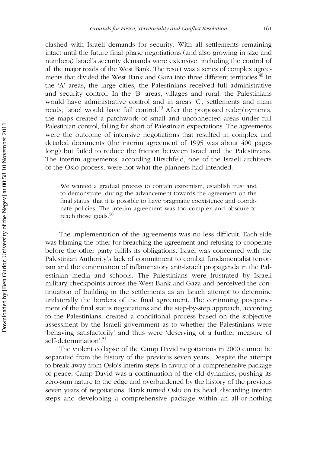clashed with Israeli demands for security. With all settlements remaining intact until the future final phase negotiations (and also growing in size and numbers) Israel's security demands were extensive, including the control of all the major roads of the West Bank. The result was a series of complex agreements that divided the West Bank and Gaza into three different territories.<sup>48</sup> In the 'A' areas, the large cities, the Palestinians received full administrative and security control. In the 'B' areas, villages and rural, the Palestinians would have administrative control and in areas 'C', settlements and main roads, Israel would have full control.<sup>49</sup> After the proposed redeployments, the maps created a patchwork of small and unconnected areas under full Palestinian control, falling far short of Palestinian expectations. The agreements were the outcome of intensive negotiations that resulted in complex and detailed documents (the interim agreement of 1995 was about 400 pages long) but failed to reduce the friction between Israel and the Palestinians. The interim agreements, according Hirschfeld, one of the Israeli architects of the Oslo process, were not what the planners had intended.

We wanted a gradual process to contain extremism, establish trust and to demonstrate, during the advancement towards the agreement on the final status, that it is possible to have pragmatic coexistence and coordinate policies. The interim agreement was too complex and obscure to reach those goals.<sup>50</sup>

The implementation of the agreements was no less difficult. Each side was blaming the other for breaching the agreement and refusing to cooperate before the other party fulfils its obligations. Israel was concerned with the Palestinian Authority's lack of commitment to combat fundamentalist terrorism and the continuation of inflammatory anti-Israeli propaganda in the Palestinian media and schools. The Palestinians were frustrated by Israeli military checkpoints across the West Bank and Gaza and perceived the continuation of building in the settlements as an Israeli attempt to determine unilaterally the borders of the final agreement. The continuing postponement of the final status negotiations and the step-by-step approach, according to the Palestinians, created a conditional process based on the subjective assessment by the Israeli government as to whether the Palestinians were 'behaving satisfactorily' and thus were 'deserving of a further measure of self-determination'.<sup>51</sup>

The violent collapse of the Camp David negotiations in 2000 cannot be separated from the history of the previous seven years. Despite the attempt to break away from Oslo's interim steps in favour of a comprehensive package of peace, Camp David was a continuation of the old dynamics, pushing its zero-sum nature to the edge and overburdened by the history of the previous seven years of negotiations. Barak turned Oslo on its head, discarding interim steps and developing a comprehensive package within an all-or-nothing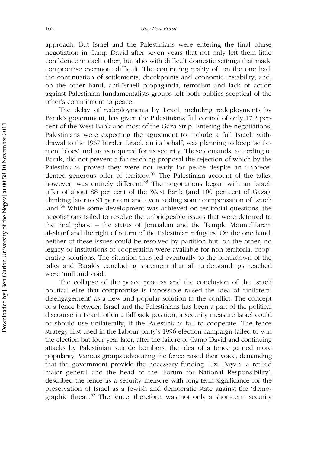approach. But Israel and the Palestinians were entering the final phase negotiation in Camp David after seven years that not only left them little confidence in each other, but also with difficult domestic settings that made compromise evermore difficult. The continuing reality of, on the one had, the continuation of settlements, checkpoints and economic instability, and, on the other hand, anti-Israeli propaganda, terrorism and lack of action against Palestinian fundamentalists groups left both publics sceptical of the other's commitment to peace.

The delay of redeployments by Israel, including redeployments by Barak's government, has given the Palestinians full control of only 17.2 percent of the West Bank and most of the Gaza Strip. Entering the negotiations, Palestinians were expecting the agreement to include a full Israeli withdrawal to the 1967 border. Israel, on its behalf, was planning to keep 'settlement blocs' and areas required for its security. These demands, according to Barak, did not prevent a far-reaching proposal the rejection of which by the Palestinians proved they were not ready for peace despite an unprecedented generous offer of territory.<sup>52</sup> The Palestinian account of the talks, however, was entirely different.<sup>53</sup> The negotiations began with an Israeli offer of about 88 per cent of the West Bank (and 100 per cent of Gaza), climbing later to 91 per cent and even adding some compensation of Israeli land.<sup>54</sup> While some development was achieved on territorial questions, the negotiations failed to resolve the unbridgeable issues that were deferred to the final phase – the status of Jerusalem and the Temple Mount/Haram al-Sharif and the right of return of the Palestinian refugees. On the one hand, neither of these issues could be resolved by partition but, on the other, no legacy or institutions of cooperation were available for non-territorial cooperative solutions. The situation thus led eventually to the breakdown of the talks and Barak's concluding statement that all understandings reached were 'null and void'.

The collapse of the peace process and the conclusion of the Israeli political elite that compromise is impossible raised the idea of 'unilateral disengagement' as a new and popular solution to the conflict. The concept of a fence between Israel and the Palestinians has been a part of the political discourse in Israel, often a fallback position, a security measure Israel could or should use unilaterally, if the Palestinians fail to cooperate. The fence strategy first used in the Labour party's 1996 election campaign failed to win the election but four year later, after the failure of Camp David and continuing attacks by Palestinian suicide bombers, the idea of a fence gained more popularity. Various groups advocating the fence raised their voice, demanding that the government provide the necessary funding. Uzi Dayan, a retired major general and the head of the 'Forum for National Responsibility', described the fence as a security measure with long-term significance for the preservation of Israel as a Jewish and democratic state against the 'demographic threat'.<sup>55</sup> The fence, therefore, was not only a short-term security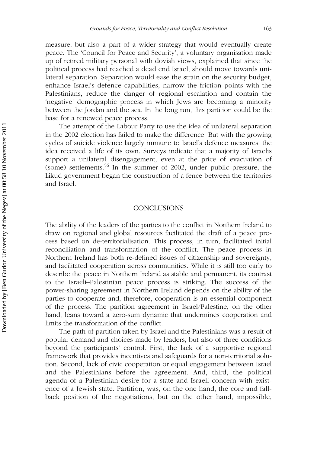measure, but also a part of a wider strategy that would eventually create peace. The 'Council for Peace and Security', a voluntary organisation made up of retired military personal with dovish views, explained that since the political process had reached a dead end Israel, should move towards unilateral separation. Separation would ease the strain on the security budget, enhance Israel's defence capabilities, narrow the friction points with the Palestinians, reduce the danger of regional escalation and contain the 'negative' demographic process in which Jews are becoming a minority between the Jordan and the sea. In the long run, this partition could be the base for a renewed peace process.

The attempt of the Labour Party to use the idea of unilateral separation in the 2002 election has failed to make the difference. But with the growing cycles of suicide violence largely immune to Israel's defence measures, the idea received a life of its own. Surveys indicate that a majority of Israelis support a unilateral disengagement, even at the price of evacuation of (some) settlements.<sup>56</sup> In the summer of 2002, under public pressure, the Likud government began the construction of a fence between the territories and Israel.

# **CONCLUSIONS**

The ability of the leaders of the parties to the conflict in Northern Ireland to draw on regional and global resources facilitated the draft of a peace process based on de-territorialisation. This process, in turn, facilitated initial reconciliation and transformation of the conflict. The peace process in Northern Ireland has both re-defined issues of citizenship and sovereignty, and facilitated cooperation across communities. While it is still too early to describe the peace in Northern Ireland as stable and permanent, its contrast to the Israeli–Palestinian peace process is striking. The success of the power-sharing agreement in Northern Ireland depends on the ability of the parties to cooperate and, therefore, cooperation is an essential component of the process. The partition agreement in Israel/Palestine, on the other hand, leans toward a zero-sum dynamic that undermines cooperation and limits the transformation of the conflict.

The path of partition taken by Israel and the Palestinians was a result of popular demand and choices made by leaders, but also of three conditions beyond the participants' control. First, the lack of a supportive regional framework that provides incentives and safeguards for a non-territorial solution. Second, lack of civic cooperation or equal engagement between Israel and the Palestinians before the agreement. And, third, the political agenda of a Palestinian desire for a state and Israeli concern with existence of a Jewish state. Partition, was, on the one hand, the core and fallback position of the negotiations, but on the other hand, impossible,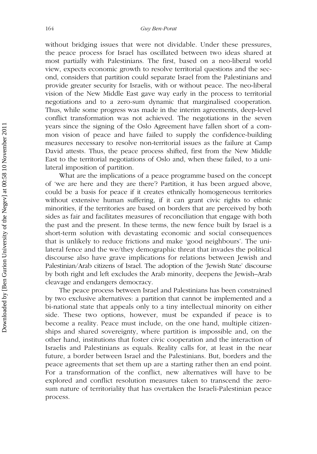without bridging issues that were not dividable. Under these pressures, the peace process for Israel has oscillated between two ideas shared at most partially with Palestinians. The first, based on a neo-liberal world view, expects economic growth to resolve territorial questions and the second, considers that partition could separate Israel from the Palestinians and provide greater security for Israelis, with or without peace. The neo-liberal vision of the New Middle East gave way early in the process to territorial negotiations and to a zero-sum dynamic that marginalised cooperation. Thus, while some progress was made in the interim agreements, deep-level conflict transformation was not achieved. The negotiations in the seven years since the signing of the Oslo Agreement have fallen short of a common vision of peace and have failed to supply the confidence-building measures necessary to resolve non-territorial issues as the failure at Camp David attests. Thus, the peace process shifted, first from the New Middle East to the territorial negotiations of Oslo and, when these failed, to a unilateral imposition of partition.

What are the implications of a peace programme based on the concept of 'we are here and they are there'? Partition, it has been argued above, could be a basis for peace if it creates ethnically homogeneous territories without extensive human suffering, if it can grant civic rights to ethnic minorities, if the territories are based on borders that are perceived by both sides as fair and facilitates measures of reconciliation that engage with both the past and the present. In these terms, the new fence built by Israel is a short-term solution with devastating economic and social consequences that is unlikely to reduce frictions and make 'good neighbours'. The unilateral fence and the we/they demographic threat that invades the political discourse also have grave implications for relations between Jewish and Palestinian/Arab citizens of Israel. The adoption of the 'Jewish State' discourse by both right and left excludes the Arab minority, deepens the Jewish–Arab cleavage and endangers democracy.

The peace process between Israel and Palestinians has been constrained by two exclusive alternatives: a partition that cannot be implemented and a bi-national state that appeals only to a tiny intellectual minority on either side. These two options, however, must be expanded if peace is to become a reality. Peace must include, on the one hand, multiple citizenships and shared sovereignty, where partition is impossible and, on the other hand, institutions that foster civic cooperation and the interaction of Israelis and Palestinians as equals. Reality calls for, at least in the near future, a border between Israel and the Palestinians. But, borders and the peace agreements that set them up are a starting rather then an end point. For a transformation of the conflict, new alternatives will have to be explored and conflict resolution measures taken to transcend the zerosum nature of territoriality that has overtaken the Israeli-Palestinian peace process.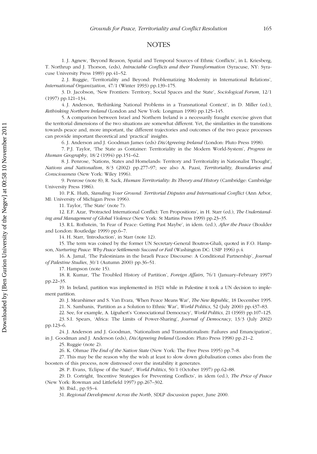# **NOTES**

1. J. Agnew, 'Beyond Reason, Spatial and Temporal Sources of Ethnic Conflicts', in L. Kriesberg, T. Northrup and J. Thorson, (eds), *Intractable Conflicts and their Transformation* (Syracuse, NY: Syracuse University Press 1989) pp.41–52.

2. J. Ruggie, 'Territoriality and Beyond: Problematizing Modernity in International Relations', *International Organization*, 47/1 (Winter 1993) pp.139–175.

3. D. Jacobson, 'New Frontiers: Territory, Social Spaces and the State', *Sociological Forum*, 12/1 (1997) pp.121–134.

4. J. Anderson, 'Rethinking National Problems in a Transnational Context', in D. Miller (ed.), *Rethinking Northern Ireland* (London and New York: Longman 1998) pp.125–145.

5. A comparison between Israel and Northern Ireland is a necessarily fraught exercise given that the territorial dimensions of the two situations are somewhat different. Yet, the similarities in the transitions towards peace and, more important, the different trajectories and outcomes of the two peace processes can provide important theoretical and 'practical' insights.

6. J. Anderson and J. Goodman James (eds) *Dis/Agreeing Ireland* (London: Pluto Press 1998).

7. P.J. Taylor, 'The State as Container: Territoriality in the Modern World-System', *Progress in Human Geography*, 18/2 (1994) pp.151–62.

8. J. Penrose, 'Nations, States and Homelands: Territory and Territoriality in Nationalist Thought', *Nations and Nationalism*, 8/3 (2002) pp.277–97; see also A. Paasi, *Territoriality, Boundaries and Consciousness* (New York: Wiley 1996).

9. Penrose (note 8); R. Sack, *Human Territoriality: Its Theory and History* (Cambridge: Cambridge University Press 1986).

10. P.K. Huth, *Standing Your Ground: Territorial Disputes and International Conflict* (Ann Arbor, MI: University of Michigan Press 1996).

11. Taylor, 'The State' (note 7).

12. E.F. Azar, 'Protracted International Conflict: Ten Propositions', in H. Starr (ed.), *The Understanding and Management of Global Violence* (New York: St Martins Press 1999) pp.23–35.

13. R.L. Rothstein, 'In Fear of Peace: Getting Past Maybe', in idem. (ed.), *After the Peace* (Boulder and London: Routledge 1999) pp.6–7.

14. H. Starr, 'Introduction', in Starr (note 12).

15. The term was coined by the former UN Secretary-General Boutros-Ghali, quoted in F.O. Hampson, *Nurturing Peace: Why Peace Settlements Succeed or Fail* (Washington DC: USIP 1996) p.4.

16. A. Jamal, 'The Palestinians in the Israeli Peace Discourse: A Conditional Partnership', *Journal of Palestine Studies*, 30/1 (Autumn 2000) pp.36–51.

17. Hampson (note 15).

18. R. Kumar, 'The Troubled History of Partition', *Foreign Affairs*, 76/1 (January–February 1997) pp.22–35.

19. In Ireland, partition was implemented in 1921 while in Palestine it took a UN decision to implement partition.

20. J. Mearshimer and S. Van Evara, 'When Peace Means War', *The New Republic*, 18 December 1995. 21. N. Sambanis, 'Partition as a Solution to Ethnic War', *World Politics*, 52 (July 2000) pp.437–83.

22. See, for example, A. Lijpahert's 'Consociational Democracy', *World Politics*, 21 (1969) pp.107–125.

23. S.I. Spears, 'Africa: The Limits of Power-Sharing', *Journal of Democracy*, 13/3 (July 2002)

pp.123–6.

24. J. Anderson and J. Goodman, 'Nationalism and Transnationalism: Failures and Emancipation', in J. Goodman and J. Anderson (eds), *Dis/Agreeing Ireland* (London: Pluto Press 1998) pp.21–2.

25. Ruggie (note 2).

26. K. Ohmae *The End of the Nation State* (New York: The Free Press 1995) pp.7–8.

27. This may be the reason why the wish at least to slow down globalisation comes also from the boosters of this process, now distressed over the instability it generates.

28. P. Evans, 'Eclipse of the State?', *World Politics*, 50/1 (October 1997) pp.62–88.

29. D. Cortright, 'Incentive Strategies for Preventing Conflicts', in idem (ed.), *The Price of Peace* (New York: Rowman and Littlefield 1997) pp.267–302.

30. Ibid., pp.93–4.

31. *Regional Development Across the North*, SDLP discussion paper, June 2000.